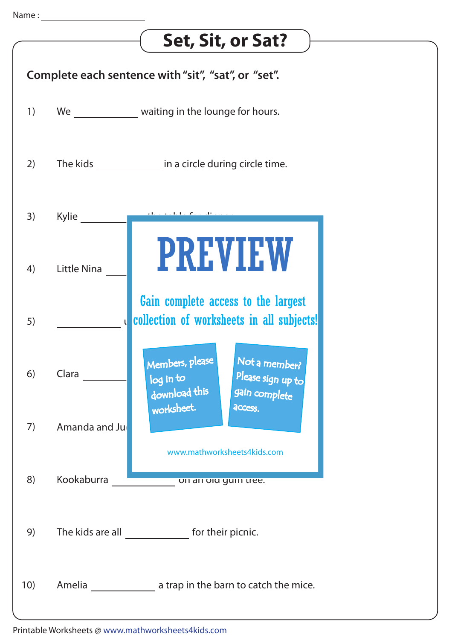